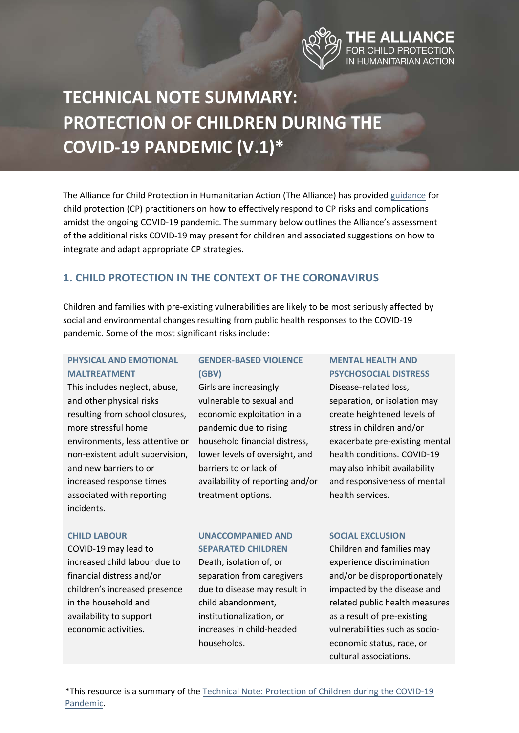

# **TECHNICAL NOTE SUMMARY: [PROTECTION OF CHILDREN DURING THE](https://alliancecpha.org/en/COVD19)  COVID-19 PANDEMIC (V.1)\***

The Alliance for Child Protection in Humanitarian Action (The Alliance) has provid[ed guidance](https://alliancecpha.org/en/COVD19) for child protection (CP) practitioners on how to effectively respond to CP risks and complications amidst the ongoing COVID-19 pandemic. The summary below outlines the Alliance's assessment of the additional risks COVID-19 may present for children and associated suggestions on how to integrate and adapt appropriate CP strategies.

# **1. CHILD PROTECTION IN THE CONTEXT OF THE CORONAVIRUS**

Children and families with pre-existing vulnerabilities are likely to be most seriously affected by social and environmental changes resulting from public health responses to the COVID-19 pandemic. Some of the most significant risks include:

## **PHYSICAL AND EMOTIONAL MALTREATMENT**

This includes neglect, abuse, and other physical risks resulting from school closures, more stressful home environments, less attentive or non-existent adult supervision, and new barriers to or increased response times associated with reporting incidents.

## **GENDER-BASED VIOLENCE (GBV)**

Girls are increasingly vulnerable to sexual and economic exploitation in a pandemic due to rising household financial distress, lower levels of oversight, and barriers to or lack of availability of reporting and/or treatment options.

## **MENTAL HEALTH AND PSYCHOSOCIAL DISTRESS**

Disease-related loss, separation, or isolation may create heightened levels of stress in children and/or exacerbate pre-existing mental health conditions. COVID-19 may also inhibit availability and responsiveness of mental health services.

#### **CHILD LABOUR**

COVID-19 may lead to increased child labour due to financial distress and/or children's increased presence in the household and availability to support economic activities.

# **UNACCOMPANIED AND SEPARATED CHILDREN**

Death, isolation of, or separation from caregivers due to disease may result in child abandonment, institutionalization, or increases in child-headed households.

#### **SOCIAL EXCLUSION**

Children and families may experience discrimination and/or be disproportionately impacted by the disease and related public health measures as a result of pre-existing vulnerabilities such as socioeconomic status, race, or cultural associations.